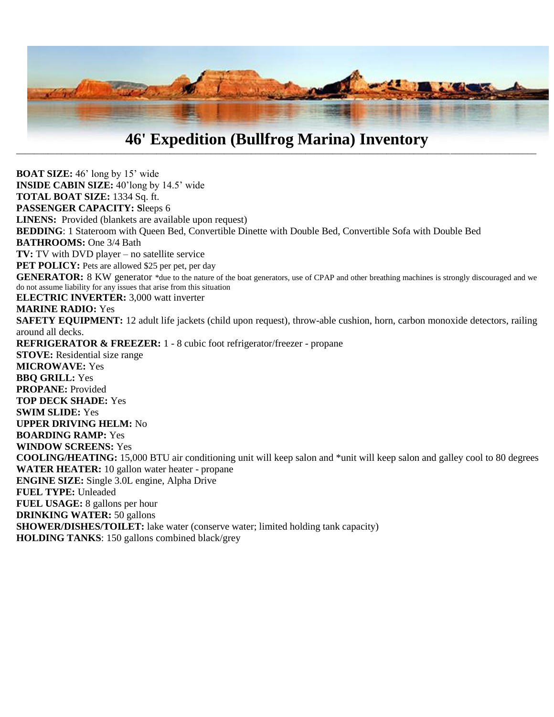

\_\_\_\_\_\_\_\_\_\_\_\_\_\_\_\_\_\_\_\_\_\_\_\_\_\_\_\_\_\_\_\_\_\_\_\_\_\_\_\_\_\_\_\_\_\_\_\_\_\_\_\_\_\_\_\_\_\_\_\_\_\_\_\_\_\_\_\_\_\_\_\_\_\_\_\_\_\_\_\_\_\_\_\_\_\_\_\_\_\_\_\_\_\_\_\_\_\_\_\_\_\_\_\_\_\_\_\_\_\_\_\_\_\_\_

**BOAT SIZE:** 46' long by 15' wide **INSIDE CABIN SIZE:** 40'long by 14.5' wide **TOTAL BOAT SIZE:** 1334 Sq. ft. **PASSENGER CAPACITY: S**leeps 6 **LINENS:** Provided (blankets are available upon request) **BEDDING**: 1 Stateroom with Queen Bed, Convertible Dinette with Double Bed, Convertible Sofa with Double Bed **BATHROOMS:** One 3/4 Bath **TV:** TV with DVD player – no satellite service PET POLICY: Pets are allowed \$25 per pet, per day GENERATOR: 8 KW generator \*due to the nature of the boat generators, use of CPAP and other breathing machines is strongly discouraged and we do not assume liability for any issues that arise from this situation **ELECTRIC INVERTER:** 3,000 watt inverter **MARINE RADIO:** Yes **SAFETY EQUIPMENT:** 12 adult life jackets (child upon request), throw-able cushion, horn, carbon monoxide detectors, railing around all decks. **REFRIGERATOR & FREEZER:** 1 - 8 cubic foot refrigerator/freezer - propane **STOVE:** Residential size range **MICROWAVE:** Yes **BBQ GRILL:** Yes **PROPANE:** Provided **TOP DECK SHADE:** Yes **SWIM SLIDE:** Yes **UPPER DRIVING HELM:** No **BOARDING RAMP:** Yes **WINDOW SCREENS:** Yes **COOLING/HEATING:** 15,000 BTU air conditioning unit will keep salon and \*unit will keep salon and galley cool to 80 degrees **WATER HEATER:** 10 gallon water heater - propane **ENGINE SIZE:** Single 3.0L engine, Alpha Drive **FUEL TYPE:** Unleaded **FUEL USAGE:** 8 gallons per hour **DRINKING WATER:** 50 gallons **SHOWER/DISHES/TOILET:** lake water (conserve water; limited holding tank capacity) **HOLDING TANKS**: 150 gallons combined black/grey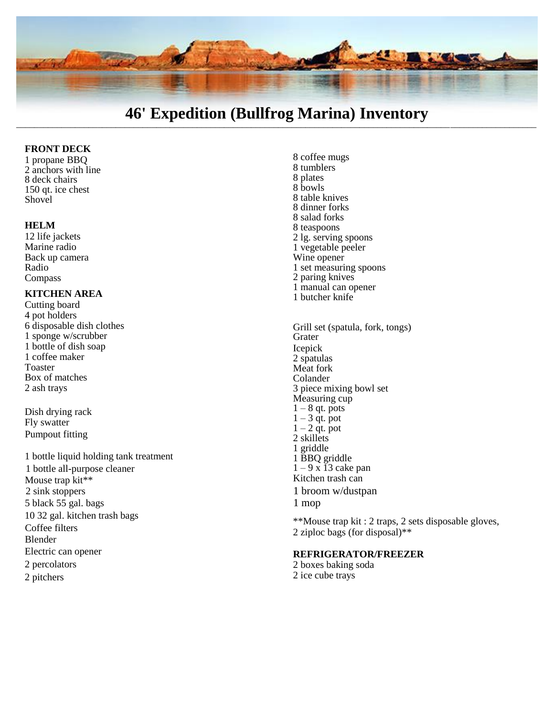

# **46' Expedition (Bullfrog Marina) Inventory** \_\_\_\_\_\_\_\_\_\_\_\_\_\_\_\_\_\_\_\_\_\_\_\_\_\_\_\_\_\_\_\_\_\_\_\_\_\_\_\_\_\_\_\_\_\_\_\_\_\_\_\_\_\_\_\_\_\_\_\_\_\_\_\_\_\_\_\_\_\_\_\_\_\_\_\_\_\_\_\_\_\_\_\_\_\_\_\_\_\_\_\_\_\_\_\_\_\_\_\_\_\_\_\_\_\_\_\_\_\_\_\_\_\_\_

# **FRONT DECK**

1 propane BBQ 2 anchors with line 8 deck chairs 150 qt. ice chest Shovel

### **HELM**

12 life jackets Marine radio Back up camera Radio Compass

## **KITCHEN AREA**

Cutting board 4 pot holders 6 disposable dish clothes 1 sponge w/scrubber 1 bottle of dish soap 1 coffee maker Toaster Box of matches 2 ash trays

Dish drying rack Fly swatter Pumpout fitting

1 bottle liquid holding tank treatment 1 bottle all-purpose cleaner Mouse trap kit<sup>\*\*</sup> 2 sink stoppers 5 black 55 gal. bags 10 32 gal. kitchen trash bags Coffee filters Blender Electric can opener 2 percolators 2 pitchers

- 8 coffee mugs 8 tumblers 8 plates 8 bowls 8 table knives 8 dinner forks 8 salad forks 8 teaspoons 2 lg. serving spoons 1 vegetable peeler Wine opener 1 set measuring spoons 2 paring knives 1 manual can opener 1 butcher knife
- Grill set (spatula, fork, tongs) Grater Icepick 2 spatulas Meat fork Colander 3 piece mixing bowl set Measuring cup  $1 - 8$  qt. pots  $1 - 3$  qt. pot  $1 - 2$  qt. pot 2 skillets 1 griddle 1 BBQ griddle  $1 - 9x$  13 cake pan Kitchen trash can 1 broom w/dustpan 1 mop
- \*\*Mouse trap kit : 2 traps, 2 sets disposable gloves, 2 ziploc bags (for disposal)\*\*

### **REFRIGERATOR/FREEZER**

2 boxes baking soda 2 ice cube trays